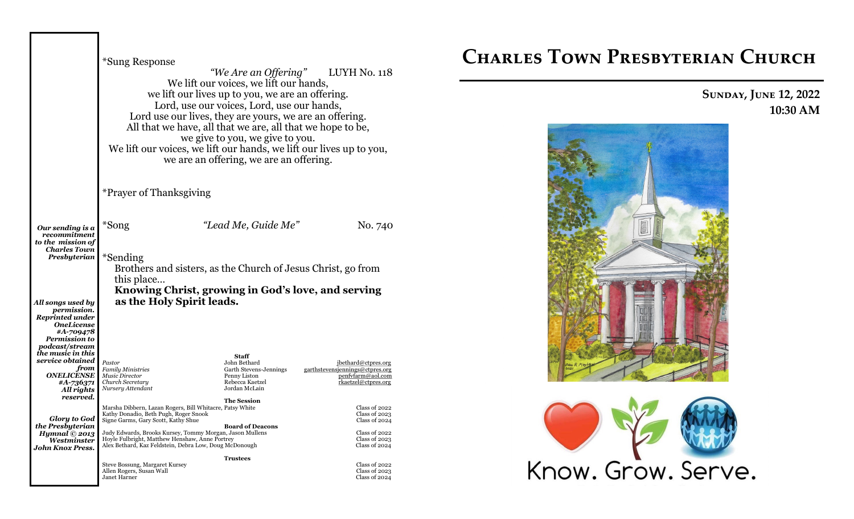|                                                                                                                             | *Sung Response<br>Lord use our lives, they are yours, we are an offering.<br>All that we have, all that we are, all that we hope to be,<br>We lift our voices, we lift our hands, we lift our lives up to you,                                                                                                   | We lift our voices, we lift our hands,<br>we lift our lives up to you, we are an offering.<br>Lord, use our voices, Lord, use our hands,<br>we give to you, we give to you.<br>we are an offering, we are an offering. | "We Are an Offering" LUYH No. 118                                                                    |
|-----------------------------------------------------------------------------------------------------------------------------|------------------------------------------------------------------------------------------------------------------------------------------------------------------------------------------------------------------------------------------------------------------------------------------------------------------|------------------------------------------------------------------------------------------------------------------------------------------------------------------------------------------------------------------------|------------------------------------------------------------------------------------------------------|
|                                                                                                                             | *Prayer of Thanksgiving                                                                                                                                                                                                                                                                                          |                                                                                                                                                                                                                        |                                                                                                      |
| Our sending is a<br>recommitment<br>to the mission of                                                                       | *Song                                                                                                                                                                                                                                                                                                            | "Lead Me, Guide Me"                                                                                                                                                                                                    | No. 740                                                                                              |
| <b>Charles Town</b><br>Presbyterian                                                                                         | *Sending<br>Brothers and sisters, as the Church of Jesus Christ, go from<br>this place<br>Knowing Christ, growing in God's love, and serving                                                                                                                                                                     |                                                                                                                                                                                                                        |                                                                                                      |
| All songs used by<br>permission.<br><b>Reprinted under</b><br><i><b>OneLicense</b></i><br>#A-709478<br><b>Permission to</b> | as the Holy Spirit leads.                                                                                                                                                                                                                                                                                        |                                                                                                                                                                                                                        |                                                                                                      |
| <i>podcast/stream</i><br>the music in this<br>service obtained                                                              |                                                                                                                                                                                                                                                                                                                  | <b>Staff</b>                                                                                                                                                                                                           |                                                                                                      |
| from<br><b>ONELICENSE</b><br>#A-736371<br>All rights                                                                        | Pastor<br><b>Family Ministries</b><br>Music Director<br>Church Secretary<br>Nursery Attendant                                                                                                                                                                                                                    | John Bethard<br>Garth Stevens-Jennings<br>Penny Liston<br>Rebecca Kaetzel<br>Jordan McLain                                                                                                                             | jbethard@ctpres.org<br>garthstevensjennings@ctpres.org<br>penfyfarm@aol.com<br>rkaetzel@ctpres.org   |
| reserved.<br><b>Glory to God</b><br>the Presbyterian<br>Hymnal $@$ 2013<br>Westminster<br><b>John Knox Press.</b>           | Marsha Dibbern, Lazan Rogers, Bill Whitacre, Patsy White<br>Kathy Donadio, Beth Pugh, Roger Snook<br>Signe Garms, Gary Scott, Kathy Shue<br>Judy Edwards, Brooks Kursey, Tommy Morgan, Jason Mullens<br>Hoyle Fulbright, Matthew Henshaw, Anne Portrey<br>Alex Bethard, Kaz Feldstein, Debra Low, Doug McDonough | <b>The Session</b><br><b>Board of Deacons</b>                                                                                                                                                                          | Class of 2022<br>Class of $2023$<br>Class of 2024<br>Class of 2022<br>Class of 2023<br>Class of 2024 |
|                                                                                                                             | Steve Bossung, Margaret Kursey<br>Allen Rogers, Susan Wall<br>Janet Harner                                                                                                                                                                                                                                       | <b>Trustees</b>                                                                                                                                                                                                        | Class of 2022<br>Class of $2023$<br>Class of 2024                                                    |

# **Charles Town Presbyterian Church**

# **Sunday, June 12, 2022 10:30 AM**



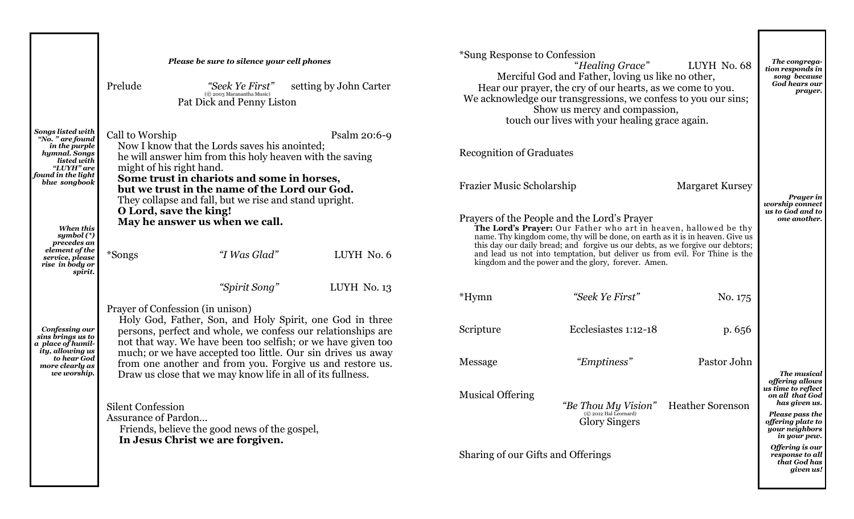|                                                                                                             | Please be sure to silence your cell phones<br>Prelude<br>"Seek Ye First"<br>(© 2003 Maranantha Music)<br>Pat Dick and Penny Liston                                                                                                                                                           | setting by John Carter | *Sung Response to Confession       | "Healing Grace"<br>Merciful God and Father, loving us like no other,<br>Hear our prayer, the cry of our hearts, as we come to you.<br>We acknowledge our transgressions, we confess to you our sins;<br>Show us mercy and compassion,<br>touch our lives with your healing grace again.                                                                                                                                   | LUYH No. 68             | The congrega-<br>tion responds in<br>song because<br>God hears our<br>prayer.                              |
|-------------------------------------------------------------------------------------------------------------|----------------------------------------------------------------------------------------------------------------------------------------------------------------------------------------------------------------------------------------------------------------------------------------------|------------------------|------------------------------------|---------------------------------------------------------------------------------------------------------------------------------------------------------------------------------------------------------------------------------------------------------------------------------------------------------------------------------------------------------------------------------------------------------------------------|-------------------------|------------------------------------------------------------------------------------------------------------|
| <b>Songs listed with</b><br>"No. " are found<br>in the purple<br>hymnal. Songs<br>listed with<br>"LUYH" are | Call to Worship<br>Now I know that the Lords saves his anointed;<br>he will answer him from this holy heaven with the saving<br>might of his right hand.                                                                                                                                     | Psalm 20:6-9           | <b>Recognition of Graduates</b>    |                                                                                                                                                                                                                                                                                                                                                                                                                           |                         |                                                                                                            |
| found in the light<br>blue songbook                                                                         | Some trust in chariots and some in horses,<br>but we trust in the name of the Lord our God.<br>They collapse and fall, but we rise and stand upright.<br>O Lord, save the king!                                                                                                              |                        | Frazier Music Scholarship          |                                                                                                                                                                                                                                                                                                                                                                                                                           | <b>Margaret Kursey</b>  | <b>Prayer</b> in<br>worship connect<br>us to God and to                                                    |
| When this<br>symbol $(*)$<br>precedes an<br>element of the<br>service, please<br>rise in body or            | May he answer us when we call.<br>"I Was Glad"<br>*Songs                                                                                                                                                                                                                                     | LUYH No. 6             |                                    | Prayers of the People and the Lord's Prayer<br>The Lord's Prayer: Our Father who art in heaven, hallowed be thy<br>name. Thy kingdom come, thy will be done, on earth as it is in heaven. Give us<br>this day our daily bread; and forgive us our debts, as we forgive our debtors;<br>and lead us not into temptation, but deliver us from evil. For Thine is the<br>kingdom and the power and the glory, forever. Amen. |                         | one another.                                                                                               |
| spirit.                                                                                                     | "Spirit Song"                                                                                                                                                                                                                                                                                | LUYH No. 13            | *Hymn                              | "Seek Ye First"                                                                                                                                                                                                                                                                                                                                                                                                           | No. 175                 |                                                                                                            |
| Confessing our<br>sins brings us to<br>a place of humil-<br>ity, allowing us<br>to hear God                 | Prayer of Confession (in unison)<br>Holy God, Father, Son, and Holy Spirit, one God in three<br>persons, perfect and whole, we confess our relationships are<br>not that way. We have been too selfish; or we have given too<br>much; or we have accepted too little. Our sin drives us away |                        | Scripture                          | Ecclesiastes 1:12-18                                                                                                                                                                                                                                                                                                                                                                                                      | p. 656                  |                                                                                                            |
| more clearly as<br>we worship.                                                                              | from one another and from you. Forgive us and restore us.<br>Draw us close that we may know life in all of its fullness.                                                                                                                                                                     |                        | Message                            | "Emptiness"                                                                                                                                                                                                                                                                                                                                                                                                               | Pastor John             | The musical<br>offering allows<br>us time to reflect                                                       |
|                                                                                                             | <b>Silent Confession</b><br>Assurance of Pardon<br>Friends, believe the good news of the gospel,<br>In Jesus Christ we are forgiven.                                                                                                                                                         |                        | <b>Musical Offering</b>            | "Be Thou My Vision"<br>(C 2012 Hal Leornard)<br><b>Glory Singers</b>                                                                                                                                                                                                                                                                                                                                                      | <b>Heather Sorenson</b> | on all that God<br>has given us.<br>Please pass the<br>offering plate to<br>your neighbors<br>in your pew. |
|                                                                                                             |                                                                                                                                                                                                                                                                                              |                        | Sharing of our Gifts and Offerings |                                                                                                                                                                                                                                                                                                                                                                                                                           |                         | Offering is our<br>response to all<br>that God has<br>given us!                                            |

г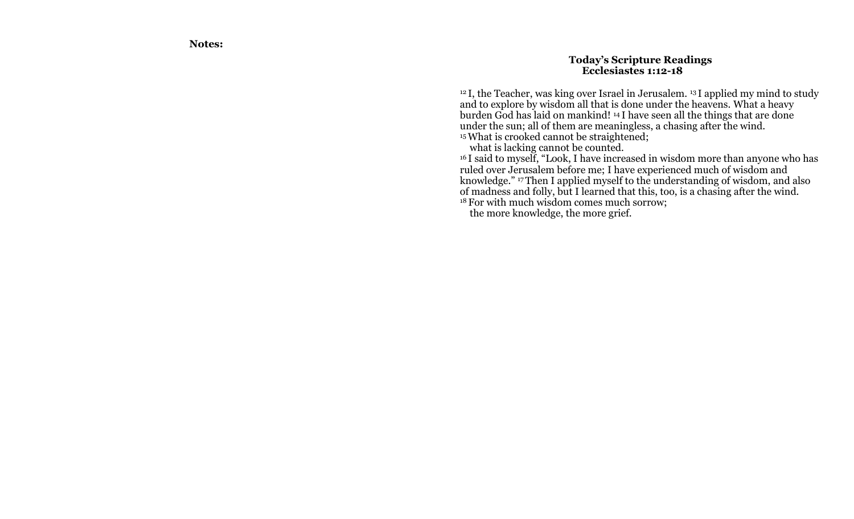**Notes:**

### **Today 's Scripture Readings Ecclesiastes 1:12 -18**

<sup>12</sup> I, the Teacher, was king over Israel in Jerusalem. <sup>13</sup> I applied my mind to study and to explore by wisdom all that is done under the heavens. What a heavy burden God has laid on mankind! <sup>14</sup> I have seen all the things that are done under the sun; all of them are meaningless, a chasing after the wind. <sup>15</sup> What is crooked cannot be straightened;

what is lacking cannot be counted.

<sup>16</sup> I said to myself, "Look, I have increased in wisdom more than anyone who has ruled over Jerusalem before me; I have experienced much of wisdom and knowledge. " <sup>17</sup>Then I applied myself to the understanding of wisdom, and also of madness and folly, but I learned that this, too, is a chasing after the wind. <sup>18</sup> For with much wisdom comes much sorrow;

the more knowledge, the more grief.